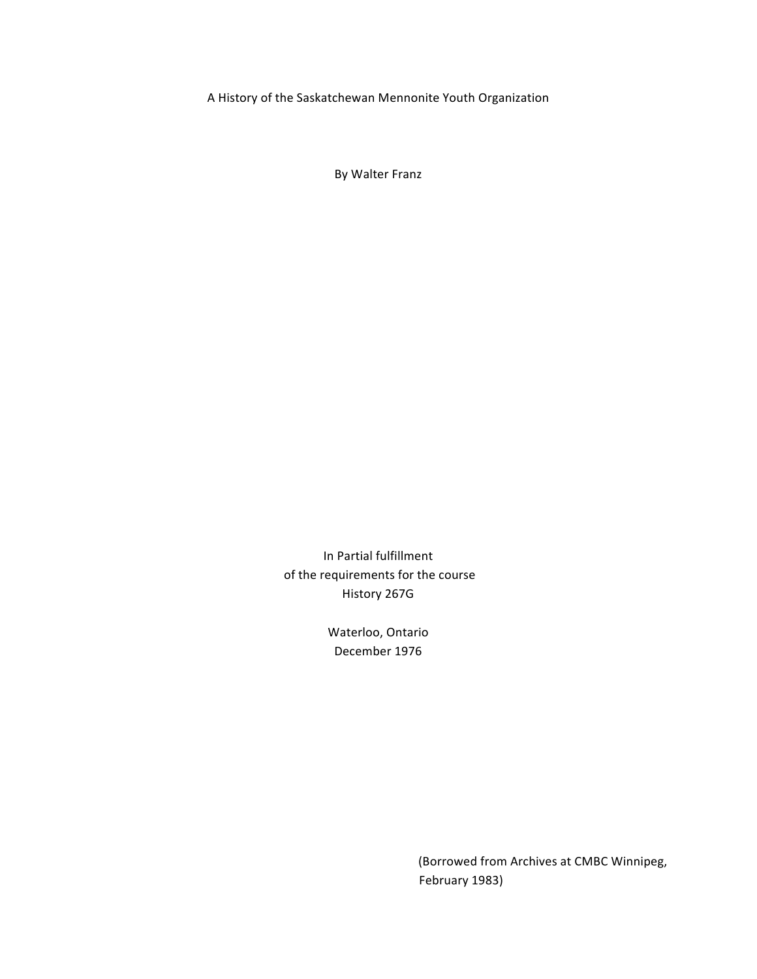A History of the Saskatchewan Mennonite Youth Organization

By Walter Franz

In Partial fulfillment of the requirements for the course History 267G

> Waterloo, Ontario December 1976

> > (Borrowed from Archives at CMBC Winnipeg, February 1983)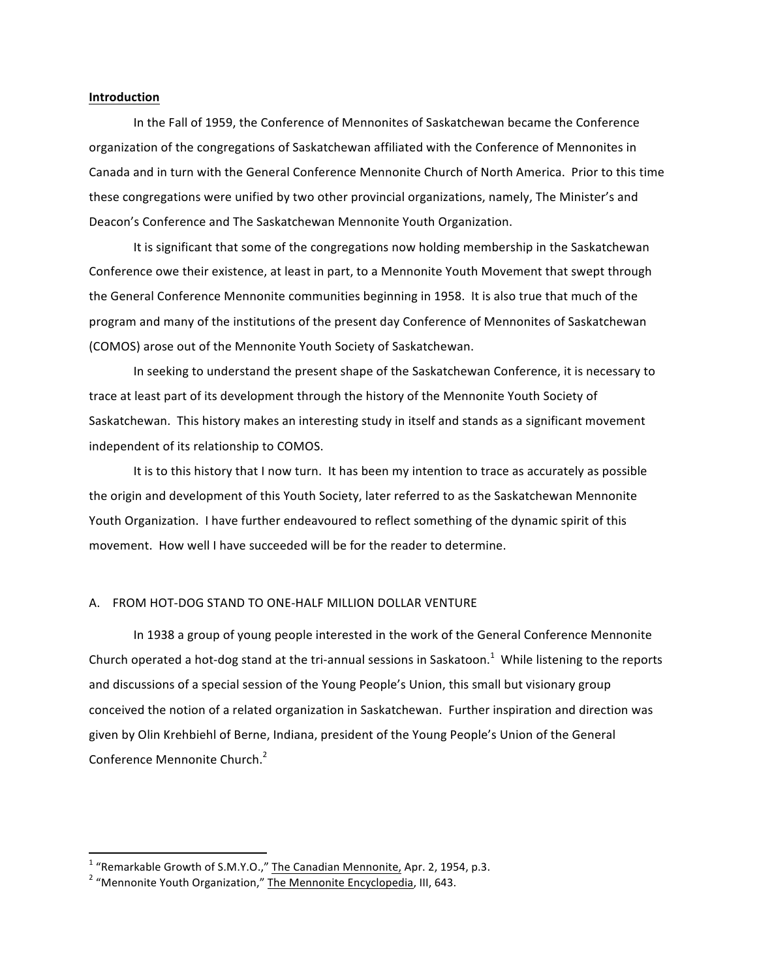### **Introduction**

In the Fall of 1959, the Conference of Mennonites of Saskatchewan became the Conference organization of the congregations of Saskatchewan affiliated with the Conference of Mennonites in Canada and in turn with the General Conference Mennonite Church of North America. Prior to this time these congregations were unified by two other provincial organizations, namely, The Minister's and Deacon's Conference and The Saskatchewan Mennonite Youth Organization.

It is significant that some of the congregations now holding membership in the Saskatchewan Conference owe their existence, at least in part, to a Mennonite Youth Movement that swept through the General Conference Mennonite communities beginning in 1958. It is also true that much of the program and many of the institutions of the present day Conference of Mennonites of Saskatchewan (COMOS) arose out of the Mennonite Youth Society of Saskatchewan.

In seeking to understand the present shape of the Saskatchewan Conference, it is necessary to trace at least part of its development through the history of the Mennonite Youth Society of Saskatchewan. This history makes an interesting study in itself and stands as a significant movement independent of its relationship to COMOS.

It is to this history that I now turn. It has been my intention to trace as accurately as possible the origin and development of this Youth Society, later referred to as the Saskatchewan Mennonite Youth Organization. I have further endeavoured to reflect something of the dynamic spirit of this movement. How well I have succeeded will be for the reader to determine.

### A. FROM HOT-DOG STAND TO ONE-HALF MILLION DOLLAR VENTURE

In 1938 a group of young people interested in the work of the General Conference Mennonite Church operated a hot-dog stand at the tri-annual sessions in Saskatoon.<sup>1</sup> While listening to the reports and discussions of a special session of the Young People's Union, this small but visionary group conceived the notion of a related organization in Saskatchewan. Further inspiration and direction was given by Olin Krehbiehl of Berne, Indiana, president of the Young People's Union of the General Conference Mennonite Church.<sup>2</sup>

<sup>&</sup>lt;sup>1</sup> "Remarkable Growth of S.M.Y.O.," The Canadian Mennonite, Apr. 2, 1954, p.3. <sup>2</sup> "Mennonite Youth Organization," The Mennonite Encyclopedia, III, 643.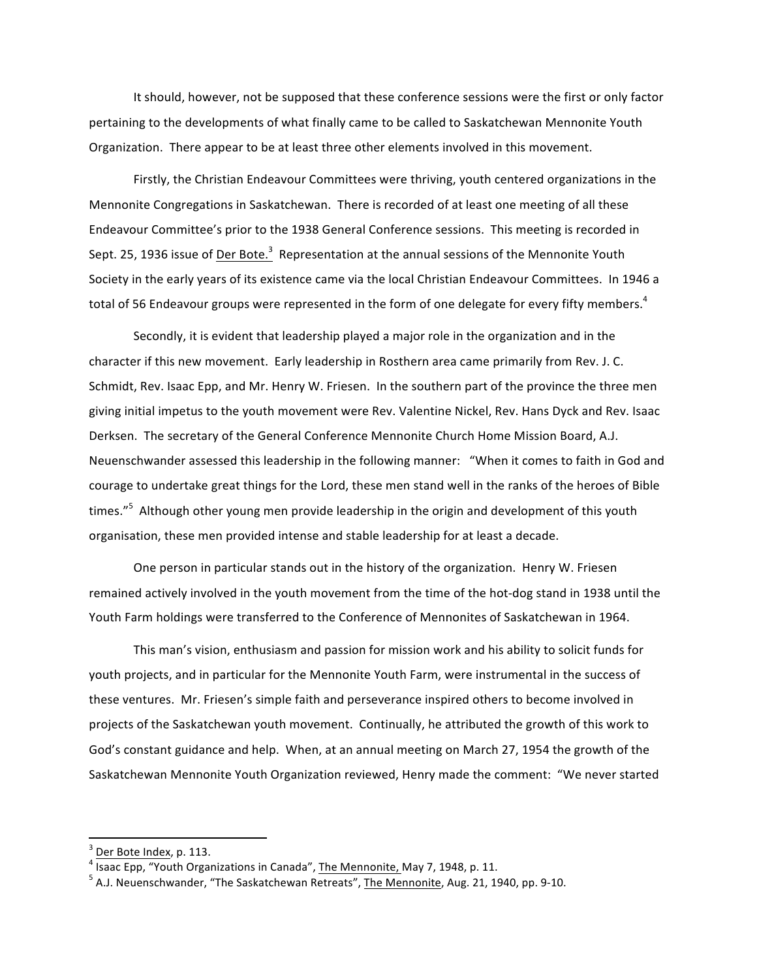It should, however, not be supposed that these conference sessions were the first or only factor pertaining to the developments of what finally came to be called to Saskatchewan Mennonite Youth Organization. There appear to be at least three other elements involved in this movement.

Firstly, the Christian Endeavour Committees were thriving, youth centered organizations in the Mennonite Congregations in Saskatchewan. There is recorded of at least one meeting of all these Endeavour Committee's prior to the 1938 General Conference sessions. This meeting is recorded in Sept. 25, 1936 issue of <u>Der Bote.<sup>3</sup></u> Representation at the annual sessions of the Mennonite Youth Society in the early years of its existence came via the local Christian Endeavour Committees. In 1946 a total of 56 Endeavour groups were represented in the form of one delegate for every fifty members.<sup>4</sup>

Secondly, it is evident that leadership played a major role in the organization and in the character if this new movement. Early leadership in Rosthern area came primarily from Rev. J. C. Schmidt, Rev. Isaac Epp, and Mr. Henry W. Friesen. In the southern part of the province the three men giving initial impetus to the youth movement were Rev. Valentine Nickel, Rev. Hans Dyck and Rev. Isaac Derksen. The secretary of the General Conference Mennonite Church Home Mission Board, A.J. Neuenschwander assessed this leadership in the following manner: "When it comes to faith in God and courage to undertake great things for the Lord, these men stand well in the ranks of the heroes of Bible times."<sup>5</sup> Although other young men provide leadership in the origin and development of this youth organisation, these men provided intense and stable leadership for at least a decade.

One person in particular stands out in the history of the organization. Henry W. Friesen remained actively involved in the youth movement from the time of the hot-dog stand in 1938 until the Youth Farm holdings were transferred to the Conference of Mennonites of Saskatchewan in 1964.

This man's vision, enthusiasm and passion for mission work and his ability to solicit funds for youth projects, and in particular for the Mennonite Youth Farm, were instrumental in the success of these ventures. Mr. Friesen's simple faith and perseverance inspired others to become involved in projects of the Saskatchewan youth movement. Continually, he attributed the growth of this work to God's constant guidance and help. When, at an annual meeting on March 27, 1954 the growth of the Saskatchewan Mennonite Youth Organization reviewed, Henry made the comment: "We never started

 $\frac{3}{\sqrt{10}}$  Der Bote Index, p. 113.<br>  $^4$  Isaac Epp, "Youth Organizations in Canada", <u>The Mennonite,</u> May 7, 1948, p. 11.<br>  $^5$  A.J. Neuenschwander, "The Saskatchewan Retreats", <u>The Mennonite</u>, Aug. 21, 1940, pp. 9-10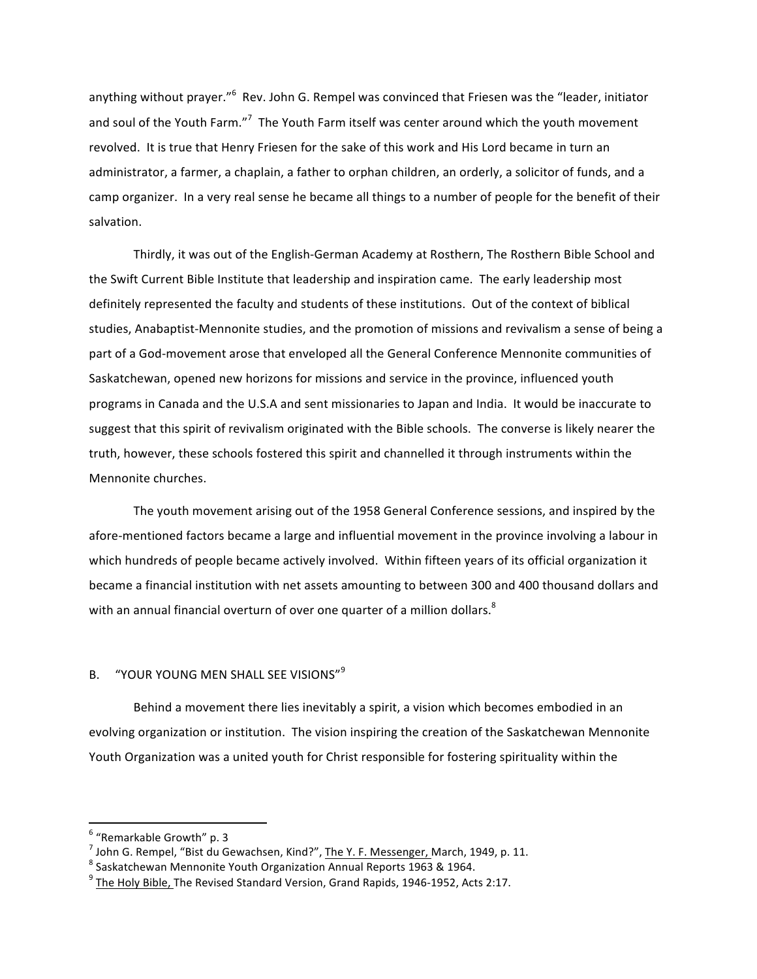anything without prayer."<sup>6</sup> Rev. John G. Rempel was convinced that Friesen was the "leader, initiator and soul of the Youth Farm."<sup>7</sup> The Youth Farm itself was center around which the youth movement revolved. It is true that Henry Friesen for the sake of this work and His Lord became in turn an administrator, a farmer, a chaplain, a father to orphan children, an orderly, a solicitor of funds, and a camp organizer. In a very real sense he became all things to a number of people for the benefit of their salvation. 

Thirdly, it was out of the English-German Academy at Rosthern, The Rosthern Bible School and the Swift Current Bible Institute that leadership and inspiration came. The early leadership most definitely represented the faculty and students of these institutions. Out of the context of biblical studies, Anabaptist-Mennonite studies, and the promotion of missions and revivalism a sense of being a part of a God-movement arose that enveloped all the General Conference Mennonite communities of Saskatchewan, opened new horizons for missions and service in the province, influenced youth programs in Canada and the U.S.A and sent missionaries to Japan and India. It would be inaccurate to suggest that this spirit of revivalism originated with the Bible schools. The converse is likely nearer the truth, however, these schools fostered this spirit and channelled it through instruments within the Mennonite churches.

The youth movement arising out of the 1958 General Conference sessions, and inspired by the afore-mentioned factors became a large and influential movement in the province involving a labour in which hundreds of people became actively involved. Within fifteen years of its official organization it became a financial institution with net assets amounting to between 300 and 400 thousand dollars and with an annual financial overturn of over one quarter of a million dollars. $8$ 

# B. "YOUR YOUNG MEN SHALL SEE VISIONS"<sup>9</sup>

Behind a movement there lies inevitably a spirit, a vision which becomes embodied in an evolving organization or institution. The vision inspiring the creation of the Saskatchewan Mennonite Youth Organization was a united youth for Christ responsible for fostering spirituality within the

 $^6$  "Remarkable Growth" p. 3<br> $^7$  John G. Rempel, "Bist du Gewachsen, Kind?", The Y. F. Messenger, March, 1949, p. 11.

Frampel, C. Rempel, C. Remonsten, March, 2018, 2018, 2018, 2018, 2018, 2018, 2019, 2018, 2019, 2018, 2019, 201

 $^9$  The Holy Bible, The Revised Standard Version, Grand Rapids, 1946-1952, Acts 2:17.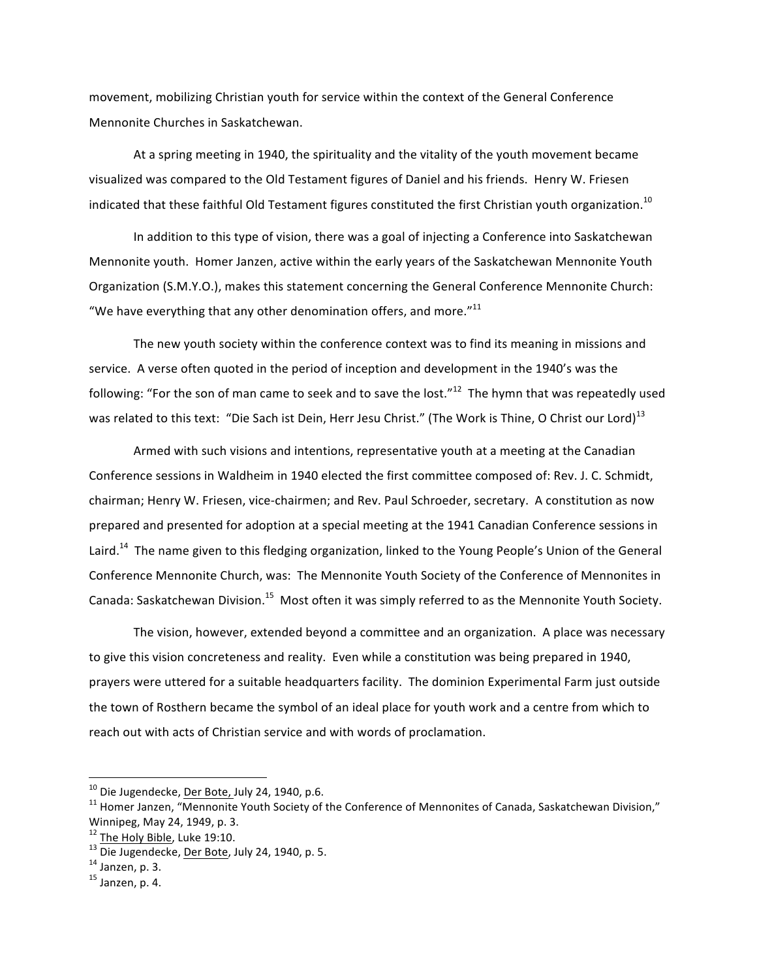movement, mobilizing Christian youth for service within the context of the General Conference Mennonite Churches in Saskatchewan.

At a spring meeting in 1940, the spirituality and the vitality of the youth movement became visualized was compared to the Old Testament figures of Daniel and his friends. Henry W. Friesen indicated that these faithful Old Testament figures constituted the first Christian youth organization.<sup>10</sup>

In addition to this type of vision, there was a goal of injecting a Conference into Saskatchewan Mennonite youth. Homer Janzen, active within the early years of the Saskatchewan Mennonite Youth Organization (S.M.Y.O.), makes this statement concerning the General Conference Mennonite Church: "We have everything that any other denomination offers, and more." $^{11}$ 

The new youth society within the conference context was to find its meaning in missions and service. A verse often quoted in the period of inception and development in the 1940's was the following: "For the son of man came to seek and to save the lost." $^{12}$  The hymn that was repeatedly used was related to this text: "Die Sach ist Dein, Herr Jesu Christ." (The Work is Thine, O Christ our Lord)<sup>13</sup>

Armed with such visions and intentions, representative youth at a meeting at the Canadian Conference sessions in Waldheim in 1940 elected the first committee composed of: Rev. J. C. Schmidt, chairman; Henry W. Friesen, vice-chairmen; and Rev. Paul Schroeder, secretary. A constitution as now prepared and presented for adoption at a special meeting at the 1941 Canadian Conference sessions in Laird.<sup>14</sup> The name given to this fledging organization, linked to the Young People's Union of the General Conference Mennonite Church, was: The Mennonite Youth Society of the Conference of Mennonites in Canada: Saskatchewan Division.<sup>15</sup> Most often it was simply referred to as the Mennonite Youth Society.

The vision, however, extended beyond a committee and an organization. A place was necessary to give this vision concreteness and reality. Even while a constitution was being prepared in 1940, prayers were uttered for a suitable headquarters facility. The dominion Experimental Farm just outside the town of Rosthern became the symbol of an ideal place for youth work and a centre from which to reach out with acts of Christian service and with words of proclamation.

<sup>&</sup>lt;sup>10</sup> Die Jugendecke, <u>Der Bote,</u> July 24, 1940, p.6. 11 Homer of Mennonites of Canada, Saskatchewan Division,"<br><sup>11</sup> Homer Janzen, "Mennonite Youth Society of the Conference of Mennonites of Canada, Saskatchewan Division," Winnipeg, May 24, 1949, p. 3.<br><sup>12</sup> The Holy Bible, Luke 19:10.

<sup>&</sup>lt;sup>13</sup> Die Jugendecke, <u>Der Bote</u>, July 24, 1940, p. 5.<br><sup>14</sup> Janzen, p. 3.<br><sup>15</sup> Janzen, p. 4.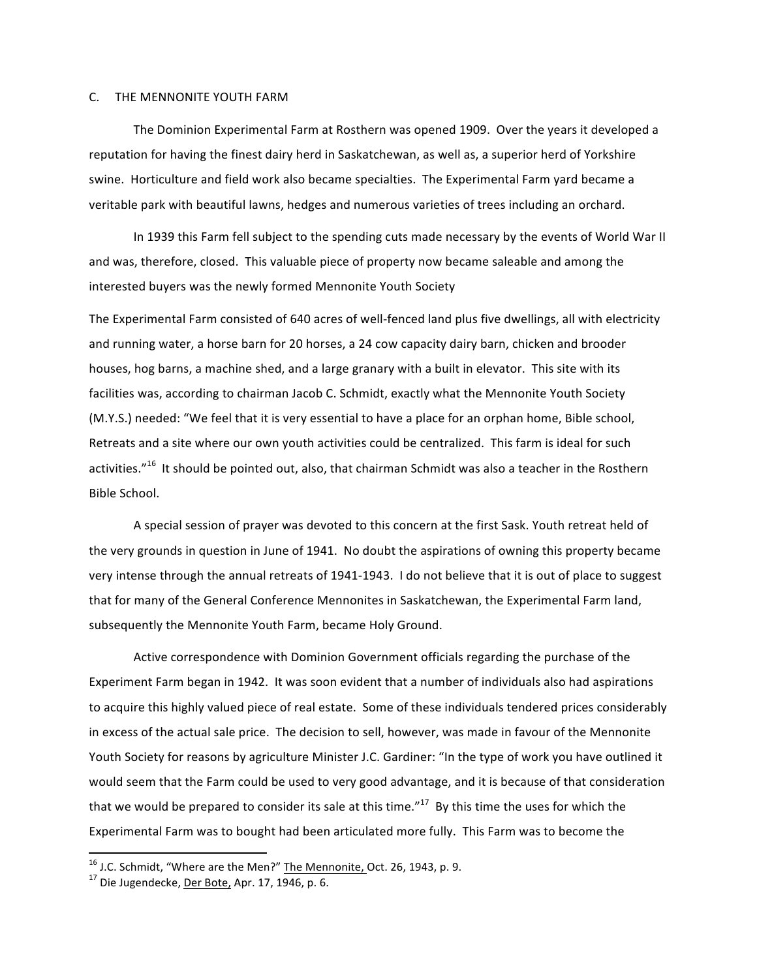#### C. THE MENNONITE YOUTH FARM

The Dominion Experimental Farm at Rosthern was opened 1909. Over the years it developed a reputation for having the finest dairy herd in Saskatchewan, as well as, a superior herd of Yorkshire swine. Horticulture and field work also became specialties. The Experimental Farm yard became a veritable park with beautiful lawns, hedges and numerous varieties of trees including an orchard.

In 1939 this Farm fell subject to the spending cuts made necessary by the events of World War II and was, therefore, closed. This valuable piece of property now became saleable and among the interested buyers was the newly formed Mennonite Youth Society

The Experimental Farm consisted of 640 acres of well-fenced land plus five dwellings, all with electricity and running water, a horse barn for 20 horses, a 24 cow capacity dairy barn, chicken and brooder houses, hog barns, a machine shed, and a large granary with a built in elevator. This site with its facilities was, according to chairman Jacob C. Schmidt, exactly what the Mennonite Youth Society (M.Y.S.) needed: "We feel that it is very essential to have a place for an orphan home, Bible school, Retreats and a site where our own youth activities could be centralized. This farm is ideal for such activities."<sup>16</sup> It should be pointed out, also, that chairman Schmidt was also a teacher in the Rosthern Bible School.

A special session of prayer was devoted to this concern at the first Sask. Youth retreat held of the very grounds in question in June of 1941. No doubt the aspirations of owning this property became very intense through the annual retreats of 1941-1943. I do not believe that it is out of place to suggest that for many of the General Conference Mennonites in Saskatchewan, the Experimental Farm land, subsequently the Mennonite Youth Farm, became Holy Ground.

Active correspondence with Dominion Government officials regarding the purchase of the Experiment Farm began in 1942. It was soon evident that a number of individuals also had aspirations to acquire this highly valued piece of real estate. Some of these individuals tendered prices considerably in excess of the actual sale price. The decision to sell, however, was made in favour of the Mennonite Youth Society for reasons by agriculture Minister J.C. Gardiner: "In the type of work you have outlined it would seem that the Farm could be used to very good advantage, and it is because of that consideration that we would be prepared to consider its sale at this time." $17$  By this time the uses for which the Experimental Farm was to bought had been articulated more fully. This Farm was to become the

<sup>&</sup>lt;sup>16</sup> J.C. Schmidt, "Where are the Men?" <u>The Mennonite,</u> Oct. 26, 1943, p. 9. <sup>17</sup> Die Jugendecke, Der Bote, Apr. 17, 1946, p. 6.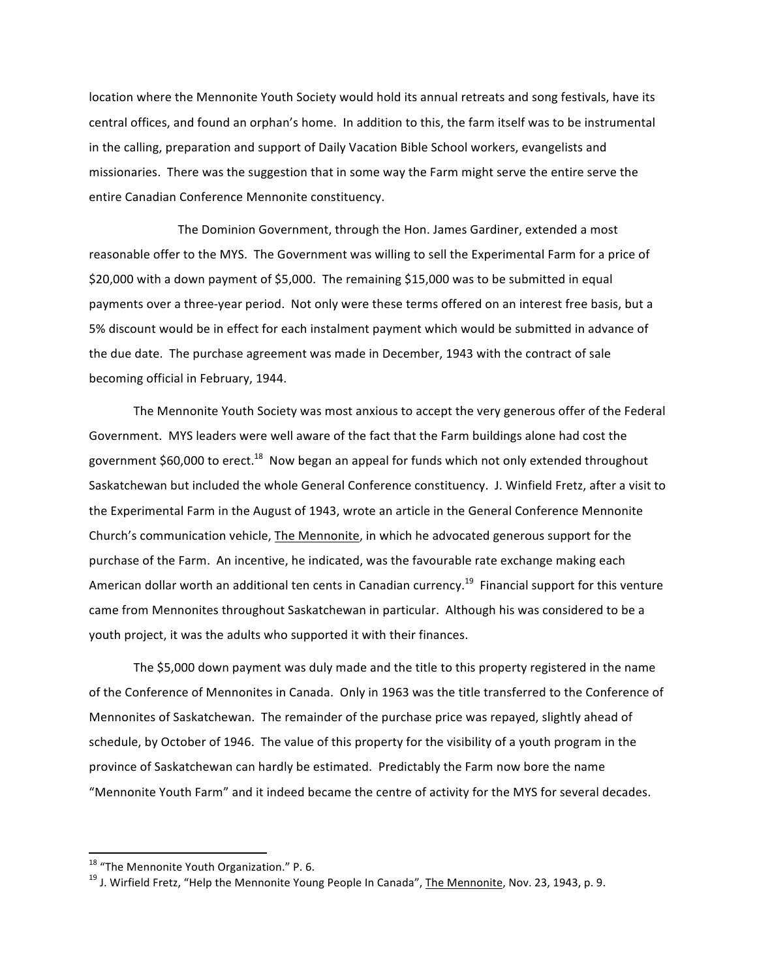location where the Mennonite Youth Society would hold its annual retreats and song festivals, have its central offices, and found an orphan's home. In addition to this, the farm itself was to be instrumental in the calling, preparation and support of Daily Vacation Bible School workers, evangelists and missionaries. There was the suggestion that in some way the Farm might serve the entire serve the entire Canadian Conference Mennonite constituency.

The Dominion Government, through the Hon. James Gardiner, extended a most reasonable offer to the MYS. The Government was willing to sell the Experimental Farm for a price of \$20,000 with a down payment of \$5,000. The remaining \$15,000 was to be submitted in equal payments over a three-year period. Not only were these terms offered on an interest free basis, but a 5% discount would be in effect for each instalment payment which would be submitted in advance of the due date. The purchase agreement was made in December, 1943 with the contract of sale becoming official in February, 1944.

The Mennonite Youth Society was most anxious to accept the very generous offer of the Federal Government. MYS leaders were well aware of the fact that the Farm buildings alone had cost the government \$60,000 to erect.<sup>18</sup> Now began an appeal for funds which not only extended throughout Saskatchewan but included the whole General Conference constituency. J. Winfield Fretz, after a visit to the Experimental Farm in the August of 1943, wrote an article in the General Conference Mennonite Church's communication vehicle, The Mennonite, in which he advocated generous support for the purchase of the Farm. An incentive, he indicated, was the favourable rate exchange making each American dollar worth an additional ten cents in Canadian currency.<sup>19</sup> Financial support for this venture came from Mennonites throughout Saskatchewan in particular. Although his was considered to be a youth project, it was the adults who supported it with their finances.

The \$5,000 down payment was duly made and the title to this property registered in the name of the Conference of Mennonites in Canada. Only in 1963 was the title transferred to the Conference of Mennonites of Saskatchewan. The remainder of the purchase price was repayed, slightly ahead of schedule, by October of 1946. The value of this property for the visibility of a youth program in the province of Saskatchewan can hardly be estimated. Predictably the Farm now bore the name "Mennonite Youth Farm" and it indeed became the centre of activity for the MYS for several decades.

<sup>&</sup>lt;sup>18</sup> "The Mennonite Youth Organization." P. 6.<br><sup>19</sup> J. Wirfield Fretz, "Help the Mennonite Young People In Canada", <u>The Mennonite</u>, Nov. 23, 1943, p. 9.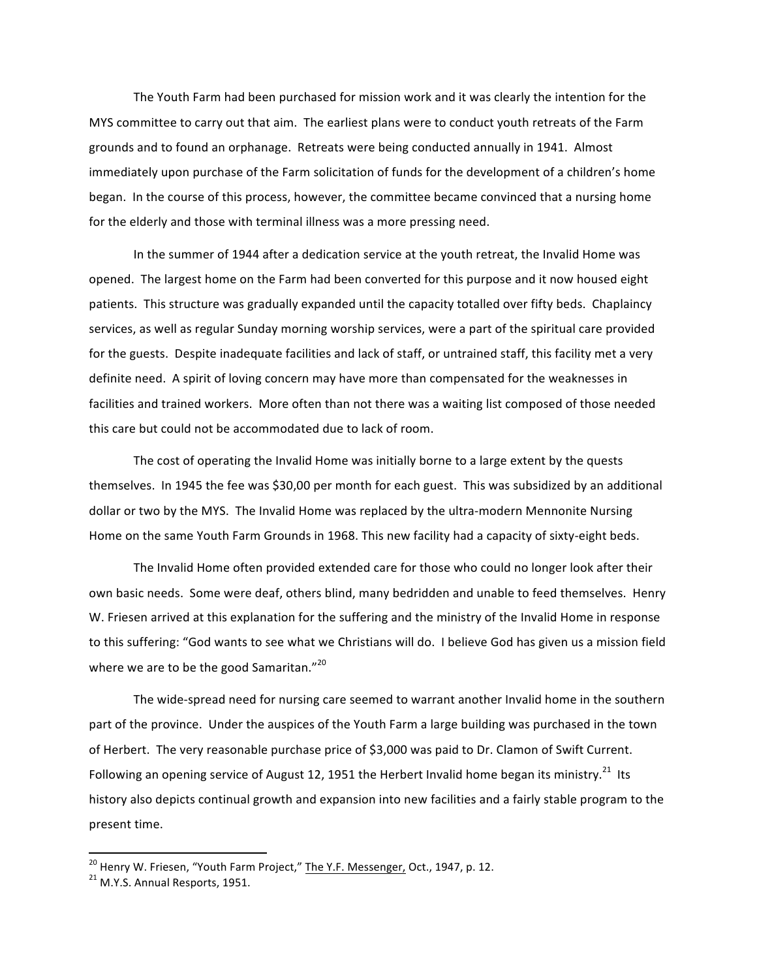The Youth Farm had been purchased for mission work and it was clearly the intention for the MYS committee to carry out that aim. The earliest plans were to conduct youth retreats of the Farm grounds and to found an orphanage. Retreats were being conducted annually in 1941. Almost immediately upon purchase of the Farm solicitation of funds for the development of a children's home began. In the course of this process, however, the committee became convinced that a nursing home for the elderly and those with terminal illness was a more pressing need.

In the summer of 1944 after a dedication service at the youth retreat, the Invalid Home was opened. The largest home on the Farm had been converted for this purpose and it now housed eight patients. This structure was gradually expanded until the capacity totalled over fifty beds. Chaplaincy services, as well as regular Sunday morning worship services, were a part of the spiritual care provided for the guests. Despite inadequate facilities and lack of staff, or untrained staff, this facility met a very definite need. A spirit of loving concern may have more than compensated for the weaknesses in facilities and trained workers. More often than not there was a waiting list composed of those needed this care but could not be accommodated due to lack of room.

The cost of operating the Invalid Home was initially borne to a large extent by the quests themselves. In 1945 the fee was \$30,00 per month for each guest. This was subsidized by an additional dollar or two by the MYS. The Invalid Home was replaced by the ultra-modern Mennonite Nursing Home on the same Youth Farm Grounds in 1968. This new facility had a capacity of sixty-eight beds.

The Invalid Home often provided extended care for those who could no longer look after their own basic needs. Some were deaf, others blind, many bedridden and unable to feed themselves. Henry W. Friesen arrived at this explanation for the suffering and the ministry of the Invalid Home in response to this suffering: "God wants to see what we Christians will do. I believe God has given us a mission field where we are to be the good Samaritan." $20$ 

The wide-spread need for nursing care seemed to warrant another Invalid home in the southern part of the province. Under the auspices of the Youth Farm a large building was purchased in the town of Herbert. The very reasonable purchase price of \$3,000 was paid to Dr. Clamon of Swift Current. Following an opening service of August 12, 1951 the Herbert Invalid home began its ministry.<sup>21</sup> Its history also depicts continual growth and expansion into new facilities and a fairly stable program to the present time.

<sup>&</sup>lt;sup>20</sup> Henry W. Friesen, "Youth Farm Project," The Y.F. Messenger, Oct., 1947, p. 12.  $^{21}$  M.Y.S. Annual Resports, 1951.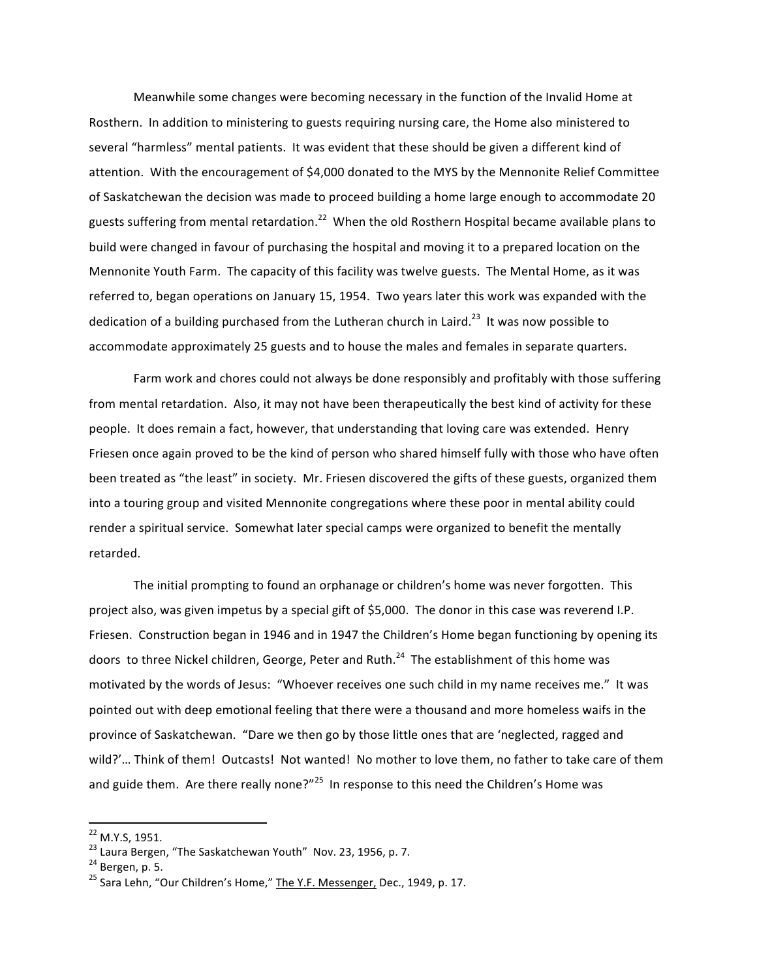Meanwhile some changes were becoming necessary in the function of the Invalid Home at Rosthern. In addition to ministering to guests requiring nursing care, the Home also ministered to several "harmless" mental patients. It was evident that these should be given a different kind of attention. With the encouragement of \$4,000 donated to the MYS by the Mennonite Relief Committee of Saskatchewan the decision was made to proceed building a home large enough to accommodate 20 guests suffering from mental retardation.<sup>22</sup> When the old Rosthern Hospital became available plans to build were changed in favour of purchasing the hospital and moving it to a prepared location on the Mennonite Youth Farm. The capacity of this facility was twelve guests. The Mental Home, as it was referred to, began operations on January 15, 1954. Two years later this work was expanded with the dedication of a building purchased from the Lutheran church in Laird.<sup>23</sup> It was now possible to accommodate approximately 25 guests and to house the males and females in separate quarters.

Farm work and chores could not always be done responsibly and profitably with those suffering from mental retardation. Also, it may not have been therapeutically the best kind of activity for these people. It does remain a fact, however, that understanding that loving care was extended. Henry Friesen once again proved to be the kind of person who shared himself fully with those who have often been treated as "the least" in society. Mr. Friesen discovered the gifts of these guests, organized them into a touring group and visited Mennonite congregations where these poor in mental ability could render a spiritual service. Somewhat later special camps were organized to benefit the mentally retarded.

The initial prompting to found an orphanage or children's home was never forgotten. This project also, was given impetus by a special gift of \$5,000. The donor in this case was reverend I.P. Friesen. Construction began in 1946 and in 1947 the Children's Home began functioning by opening its doors to three Nickel children, George, Peter and Ruth.<sup>24</sup> The establishment of this home was motivated by the words of Jesus: "Whoever receives one such child in my name receives me." It was pointed out with deep emotional feeling that there were a thousand and more homeless waifs in the province of Saskatchewan. "Dare we then go by those little ones that are 'neglected, ragged and wild?'... Think of them! Outcasts! Not wanted! No mother to love them, no father to take care of them and guide them. Are there really none?"<sup>25</sup> In response to this need the Children's Home was

<sup>&</sup>lt;sup>22</sup> M.Y.S, 1951.<br><sup>23</sup> Laura Bergen, "The Saskatchewan Youth" Nov. 23, 1956, p. 7.<br><sup>24</sup> Bergen, p. 5.<br><sup>25</sup> Sara Lehn, "Our Children's Home," The Y.F. Messenger, Dec., 1949, p. 17.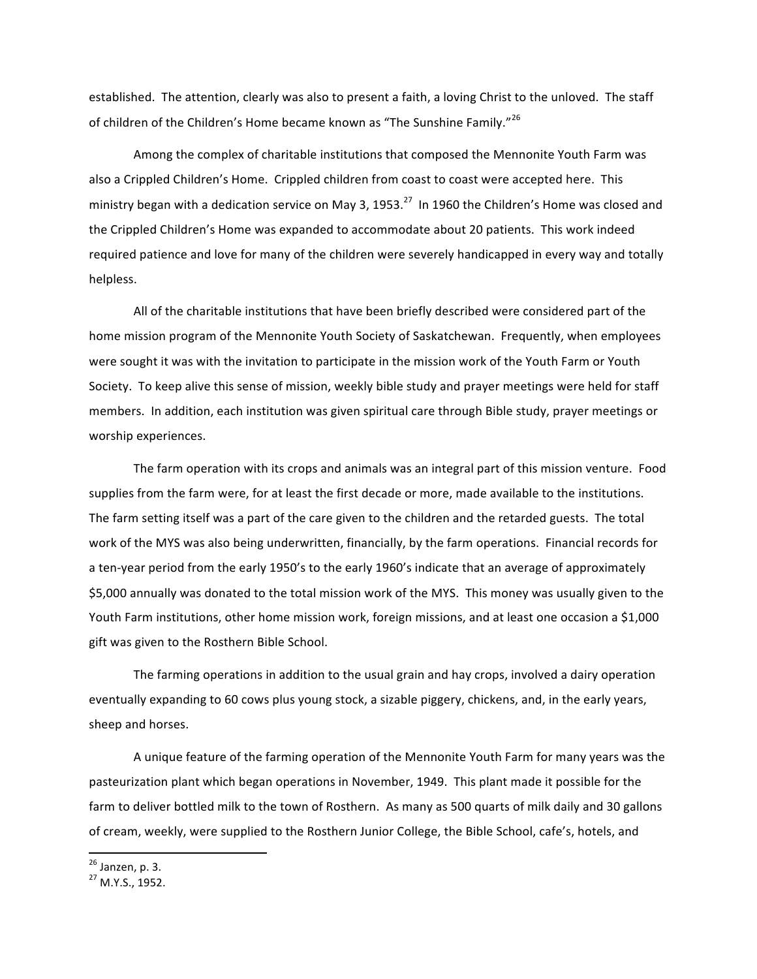established. The attention, clearly was also to present a faith, a loving Christ to the unloved. The staff of children of the Children's Home became known as "The Sunshine Family."<sup>26</sup>

Among the complex of charitable institutions that composed the Mennonite Youth Farm was also a Crippled Children's Home. Crippled children from coast to coast were accepted here. This ministry began with a dedication service on May 3, 1953.<sup>27</sup> In 1960 the Children's Home was closed and the Crippled Children's Home was expanded to accommodate about 20 patients. This work indeed required patience and love for many of the children were severely handicapped in every way and totally helpless. 

All of the charitable institutions that have been briefly described were considered part of the home mission program of the Mennonite Youth Society of Saskatchewan. Frequently, when employees were sought it was with the invitation to participate in the mission work of the Youth Farm or Youth Society. To keep alive this sense of mission, weekly bible study and prayer meetings were held for staff members. In addition, each institution was given spiritual care through Bible study, prayer meetings or worship experiences.

The farm operation with its crops and animals was an integral part of this mission venture. Food supplies from the farm were, for at least the first decade or more, made available to the institutions. The farm setting itself was a part of the care given to the children and the retarded guests. The total work of the MYS was also being underwritten, financially, by the farm operations. Financial records for a ten-year period from the early 1950's to the early 1960's indicate that an average of approximately \$5,000 annually was donated to the total mission work of the MYS. This money was usually given to the Youth Farm institutions, other home mission work, foreign missions, and at least one occasion a \$1,000 gift was given to the Rosthern Bible School.

The farming operations in addition to the usual grain and hay crops, involved a dairy operation eventually expanding to 60 cows plus young stock, a sizable piggery, chickens, and, in the early years, sheep and horses.

A unique feature of the farming operation of the Mennonite Youth Farm for many years was the pasteurization plant which began operations in November, 1949. This plant made it possible for the farm to deliver bottled milk to the town of Rosthern. As many as 500 quarts of milk daily and 30 gallons of cream, weekly, were supplied to the Rosthern Junior College, the Bible School, cafe's, hotels, and

 $^{26}$  Janzen, p. 3.<br> $^{27}$  M.Y.S., 1952.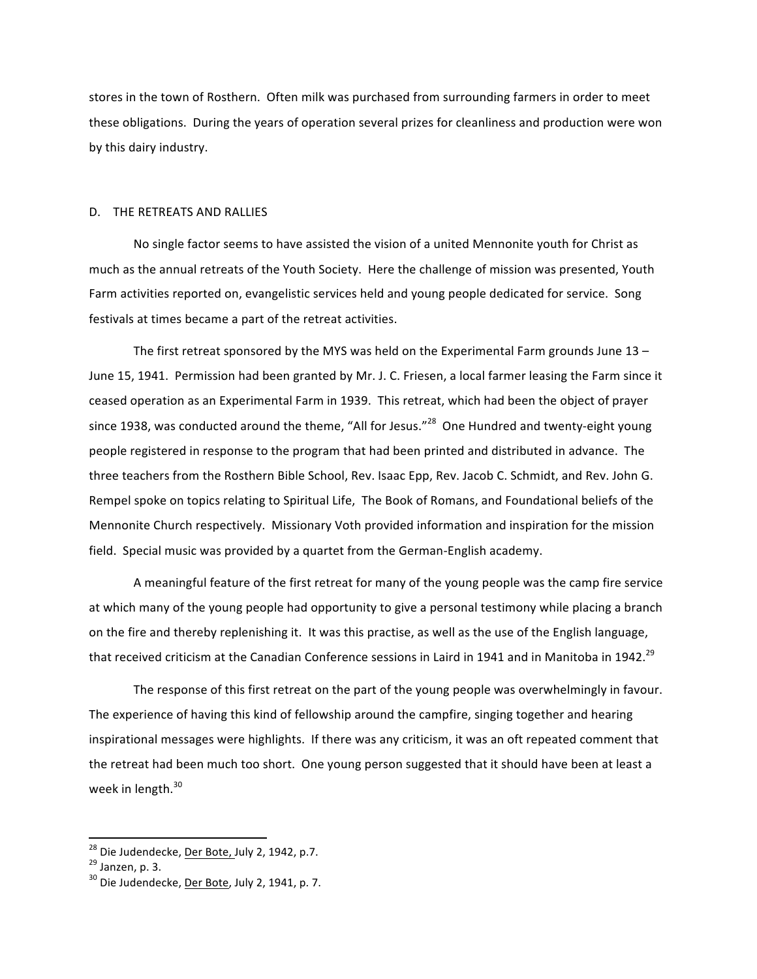stores in the town of Rosthern. Often milk was purchased from surrounding farmers in order to meet these obligations. During the years of operation several prizes for cleanliness and production were won by this dairy industry.

## D. THE RETREATS AND RALLIES

No single factor seems to have assisted the vision of a united Mennonite youth for Christ as much as the annual retreats of the Youth Society. Here the challenge of mission was presented, Youth Farm activities reported on, evangelistic services held and young people dedicated for service. Song festivals at times became a part of the retreat activities.

The first retreat sponsored by the MYS was held on the Experimental Farm grounds June  $13 -$ June 15, 1941. Permission had been granted by Mr. J. C. Friesen, a local farmer leasing the Farm since it ceased operation as an Experimental Farm in 1939. This retreat, which had been the object of prayer since 1938, was conducted around the theme, "All for Jesus."<sup>28</sup> One Hundred and twenty-eight young people registered in response to the program that had been printed and distributed in advance. The three teachers from the Rosthern Bible School, Rev. Isaac Epp, Rev. Jacob C. Schmidt, and Rev. John G. Rempel spoke on topics relating to Spiritual Life, The Book of Romans, and Foundational beliefs of the Mennonite Church respectively. Missionary Voth provided information and inspiration for the mission field. Special music was provided by a quartet from the German-English academy.

A meaningful feature of the first retreat for many of the young people was the camp fire service at which many of the young people had opportunity to give a personal testimony while placing a branch on the fire and thereby replenishing it. It was this practise, as well as the use of the English language, that received criticism at the Canadian Conference sessions in Laird in 1941 and in Manitoba in 1942.<sup>29</sup>

The response of this first retreat on the part of the young people was overwhelmingly in favour. The experience of having this kind of fellowship around the campfire, singing together and hearing inspirational messages were highlights. If there was any criticism, it was an oft repeated comment that the retreat had been much too short. One young person suggested that it should have been at least a week in length. $30$ 

<sup>&</sup>lt;sup>28</sup> Die Judendecke, <u>Der Bote, J</u>uly 2, 1942, p.7.

 $29$  Janzen, p. 3.<br> $30$  Die Judendecke, <u>Der Bote</u>, July 2, 1941, p. 7.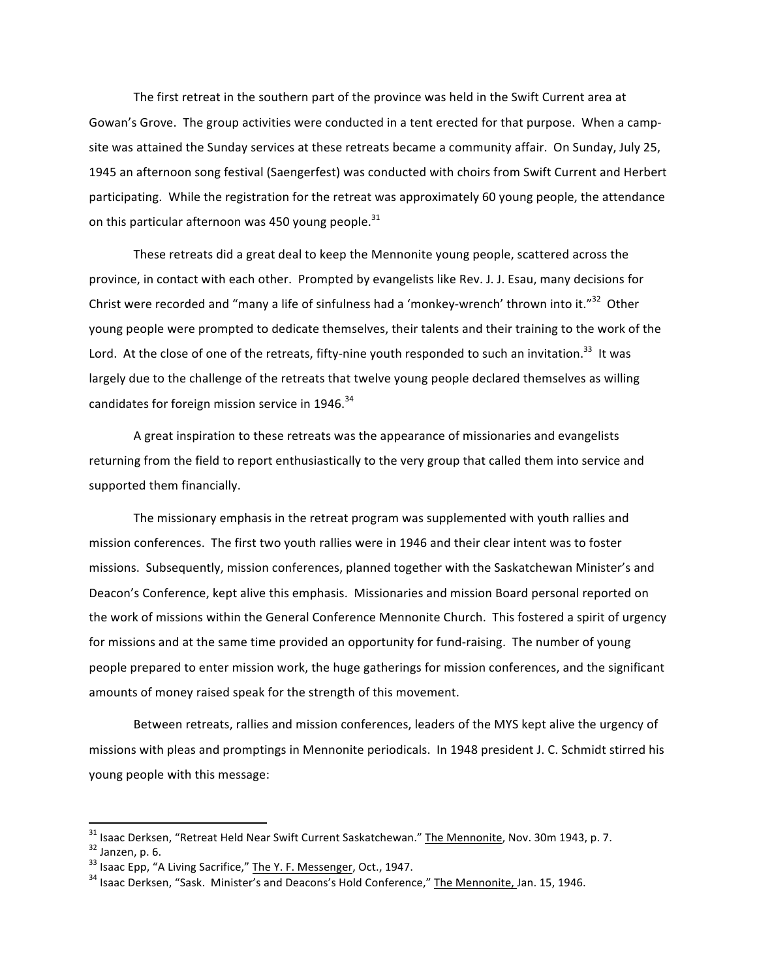The first retreat in the southern part of the province was held in the Swift Current area at Gowan's Grove. The group activities were conducted in a tent erected for that purpose. When a campsite was attained the Sunday services at these retreats became a community affair. On Sunday, July 25, 1945 an afternoon song festival (Saengerfest) was conducted with choirs from Swift Current and Herbert participating. While the registration for the retreat was approximately 60 young people, the attendance on this particular afternoon was 450 young people.  $31$ 

These retreats did a great deal to keep the Mennonite young people, scattered across the province, in contact with each other. Prompted by evangelists like Rev. J. J. Esau, many decisions for Christ were recorded and "many a life of sinfulness had a 'monkey-wrench' thrown into it."<sup>32</sup> Other young people were prompted to dedicate themselves, their talents and their training to the work of the Lord. At the close of one of the retreats, fifty-nine youth responded to such an invitation.<sup>33</sup> It was largely due to the challenge of the retreats that twelve young people declared themselves as willing candidates for foreign mission service in  $1946$ .<sup>34</sup>

A great inspiration to these retreats was the appearance of missionaries and evangelists returning from the field to report enthusiastically to the very group that called them into service and supported them financially.

The missionary emphasis in the retreat program was supplemented with youth rallies and mission conferences. The first two youth rallies were in 1946 and their clear intent was to foster missions. Subsequently, mission conferences, planned together with the Saskatchewan Minister's and Deacon's Conference, kept alive this emphasis. Missionaries and mission Board personal reported on the work of missions within the General Conference Mennonite Church. This fostered a spirit of urgency for missions and at the same time provided an opportunity for fund-raising. The number of young people prepared to enter mission work, the huge gatherings for mission conferences, and the significant amounts of money raised speak for the strength of this movement.

Between retreats, rallies and mission conferences, leaders of the MYS kept alive the urgency of missions with pleas and promptings in Mennonite periodicals. In 1948 president J. C. Schmidt stirred his young people with this message:

<sup>&</sup>lt;sup>31</sup> Isaac Derksen, "Retreat Held Near Swift Current Saskatchewan." <u>The Mennonite</u>, Nov. 30m 1943, p. 7.<br><sup>32</sup> Janzen, p. 6.<br><sup>33</sup> Isaac Epp, "A Living Sacrifice," <u>The Y. F. Messenger</u>, Oct., 1947.<br><sup>34</sup> Isaac Derksen, "Sa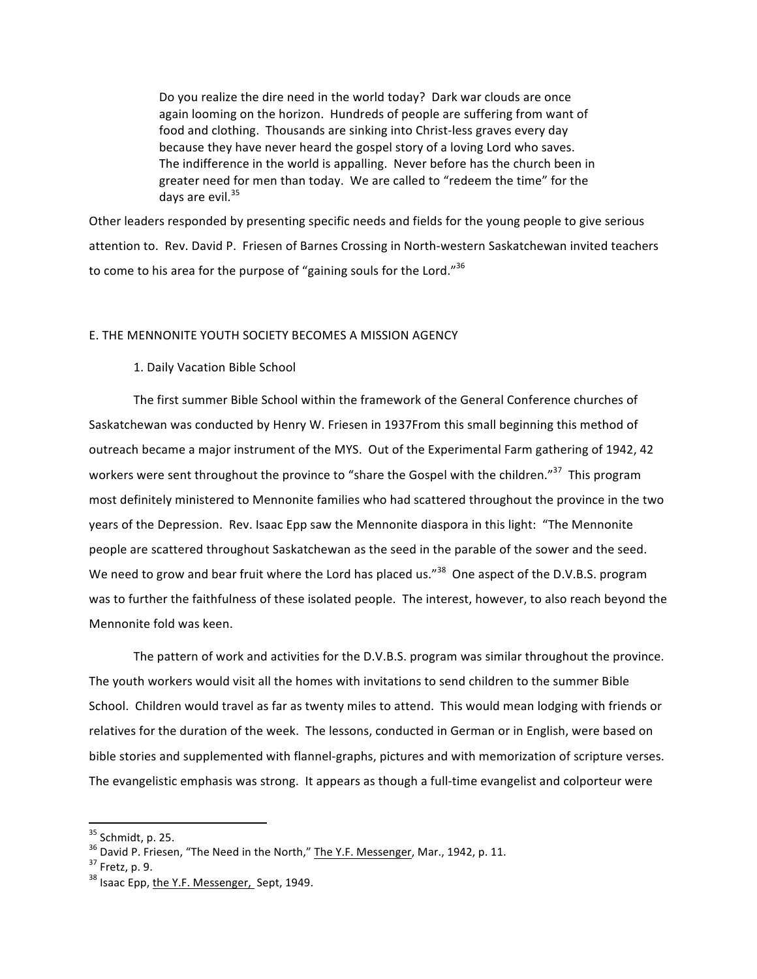Do you realize the dire need in the world today? Dark war clouds are once again looming on the horizon. Hundreds of people are suffering from want of food and clothing. Thousands are sinking into Christ-less graves every day because they have never heard the gospel story of a loving Lord who saves. The indifference in the world is appalling. Never before has the church been in greater need for men than today. We are called to "redeem the time" for the days are evil. $35$ 

Other leaders responded by presenting specific needs and fields for the young people to give serious attention to. Rev. David P. Friesen of Barnes Crossing in North-western Saskatchewan invited teachers to come to his area for the purpose of "gaining souls for the Lord." $36$ 

# E. THE MENNONITE YOUTH SOCIETY BECOMES A MISSION AGENCY

# 1. Daily Vacation Bible School

The first summer Bible School within the framework of the General Conference churches of Saskatchewan was conducted by Henry W. Friesen in 1937From this small beginning this method of outreach became a major instrument of the MYS. Out of the Experimental Farm gathering of 1942, 42 workers were sent throughout the province to "share the Gospel with the children."<sup>37</sup> This program most definitely ministered to Mennonite families who had scattered throughout the province in the two years of the Depression. Rev. Isaac Epp saw the Mennonite diaspora in this light: "The Mennonite people are scattered throughout Saskatchewan as the seed in the parable of the sower and the seed. We need to grow and bear fruit where the Lord has placed us."<sup>38</sup> One aspect of the D.V.B.S. program was to further the faithfulness of these isolated people. The interest, however, to also reach beyond the Mennonite fold was keen.

The pattern of work and activities for the D.V.B.S. program was similar throughout the province. The youth workers would visit all the homes with invitations to send children to the summer Bible School. Children would travel as far as twenty miles to attend. This would mean lodging with friends or relatives for the duration of the week. The lessons, conducted in German or in English, were based on bible stories and supplemented with flannel-graphs, pictures and with memorization of scripture verses. The evangelistic emphasis was strong. It appears as though a full-time evangelist and colporteur were

<sup>&</sup>lt;sup>35</sup> Schmidt, p. 25.<br><sup>36</sup> David P. Friesen, "The Need in the North," <u>The Y.F. Messenger</u>, Mar., 1942, p. 11.<br><sup>37</sup> Fretz, p. 9.<br><sup>38</sup> Isaac Epp, the Y.F. Messenger, Sept, 1949.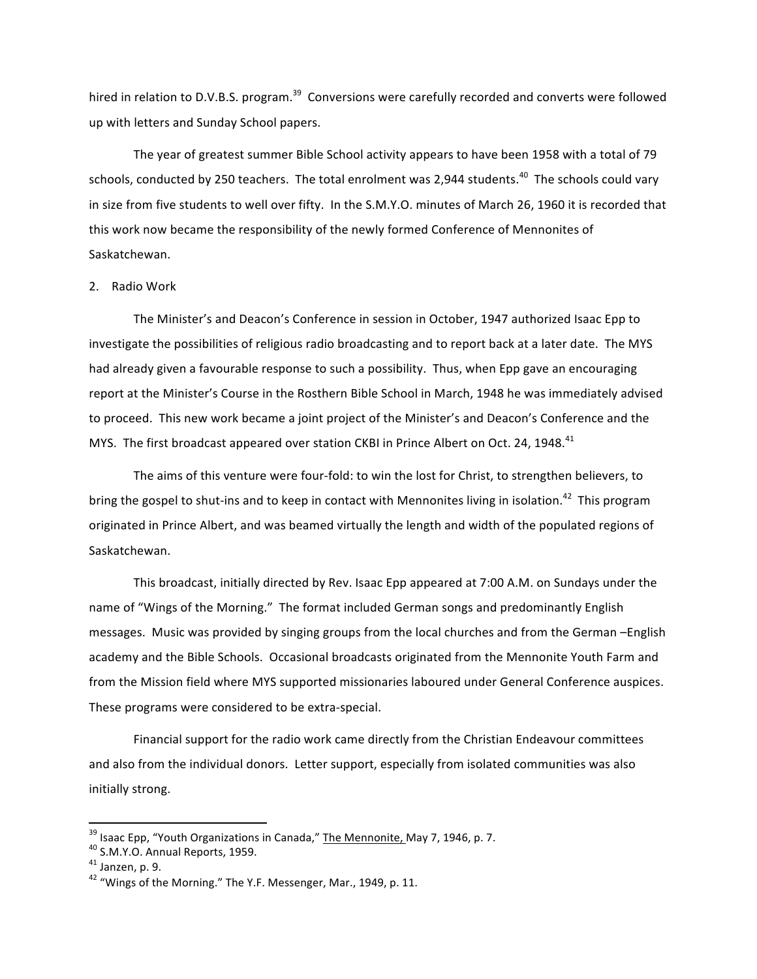hired in relation to D.V.B.S. program.<sup>39</sup> Conversions were carefully recorded and converts were followed up with letters and Sunday School papers.

The year of greatest summer Bible School activity appears to have been 1958 with a total of 79 schools, conducted by 250 teachers. The total enrolment was 2,944 students.<sup>40</sup> The schools could vary in size from five students to well over fifty. In the S.M.Y.O. minutes of March 26, 1960 it is recorded that this work now became the responsibility of the newly formed Conference of Mennonites of Saskatchewan.

## 2. Radio Work

The Minister's and Deacon's Conference in session in October, 1947 authorized Isaac Epp to investigate the possibilities of religious radio broadcasting and to report back at a later date. The MYS had already given a favourable response to such a possibility. Thus, when Epp gave an encouraging report at the Minister's Course in the Rosthern Bible School in March, 1948 he was immediately advised to proceed. This new work became a joint project of the Minister's and Deacon's Conference and the MYS. The first broadcast appeared over station CKBI in Prince Albert on Oct. 24, 1948.<sup>41</sup>

The aims of this venture were four-fold: to win the lost for Christ, to strengthen believers, to bring the gospel to shut-ins and to keep in contact with Mennonites living in isolation.<sup>42</sup> This program originated in Prince Albert, and was beamed virtually the length and width of the populated regions of Saskatchewan. 

This broadcast, initially directed by Rev. Isaac Epp appeared at 7:00 A.M. on Sundays under the name of "Wings of the Morning." The format included German songs and predominantly English messages. Music was provided by singing groups from the local churches and from the German -English academy and the Bible Schools. Occasional broadcasts originated from the Mennonite Youth Farm and from the Mission field where MYS supported missionaries laboured under General Conference auspices. These programs were considered to be extra-special.

Financial support for the radio work came directly from the Christian Endeavour committees and also from the individual donors. Letter support, especially from isolated communities was also initially strong.

<sup>&</sup>lt;sup>39</sup> Isaac Epp, "Youth Organizations in Canada," <u>The Mennonite,</u> May 7, 1946, p. 7.<br><sup>40</sup> S.M.Y.O. Annual Reports, 1959.<br><sup>41</sup> Janzen, p. 9.<br><sup>42</sup> "Wings of the Morning." The Y.F. Messenger, Mar., 1949, p. 11.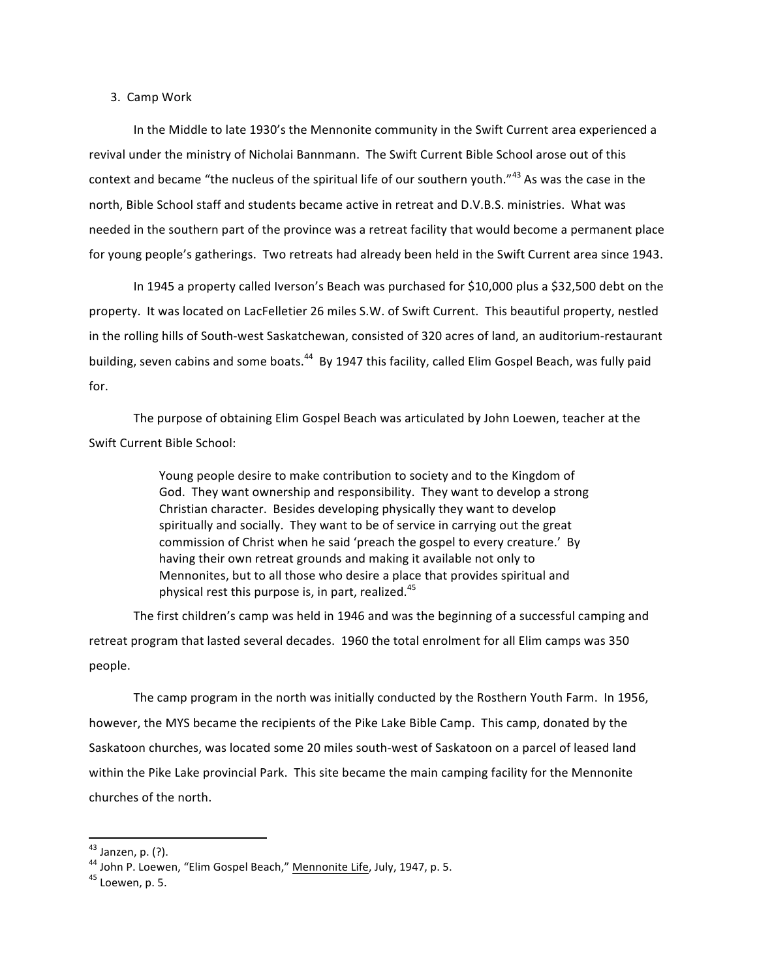## 3. Camp Work

In the Middle to late 1930's the Mennonite community in the Swift Current area experienced a revival under the ministry of Nicholai Bannmann. The Swift Current Bible School arose out of this context and became "the nucleus of the spiritual life of our southern youth."<sup>43</sup> As was the case in the north, Bible School staff and students became active in retreat and D.V.B.S. ministries. What was needed in the southern part of the province was a retreat facility that would become a permanent place for young people's gatherings. Two retreats had already been held in the Swift Current area since 1943.

In 1945 a property called Iverson's Beach was purchased for \$10,000 plus a \$32,500 debt on the property. It was located on LacFelletier 26 miles S.W. of Swift Current. This beautiful property, nestled in the rolling hills of South-west Saskatchewan, consisted of 320 acres of land, an auditorium-restaurant building, seven cabins and some boats.<sup>44</sup> By 1947 this facility, called Elim Gospel Beach, was fully paid for.

The purpose of obtaining Elim Gospel Beach was articulated by John Loewen, teacher at the Swift Current Bible School:

> Young people desire to make contribution to society and to the Kingdom of God. They want ownership and responsibility. They want to develop a strong Christian character. Besides developing physically they want to develop spiritually and socially. They want to be of service in carrying out the great commission of Christ when he said 'preach the gospel to every creature.' By having their own retreat grounds and making it available not only to Mennonites, but to all those who desire a place that provides spiritual and physical rest this purpose is, in part, realized.<sup>45</sup>

The first children's camp was held in 1946 and was the beginning of a successful camping and retreat program that lasted several decades. 1960 the total enrolment for all Elim camps was 350 people.

The camp program in the north was initially conducted by the Rosthern Youth Farm. In 1956, however, the MYS became the recipients of the Pike Lake Bible Camp. This camp, donated by the Saskatoon churches, was located some 20 miles south-west of Saskatoon on a parcel of leased land within the Pike Lake provincial Park. This site became the main camping facility for the Mennonite churches of the north.

<sup>&</sup>lt;sup>43</sup> Janzen, p. (?).<br><sup>44</sup> John P. Loewen, "Elim Gospel Beach," <u>Mennonite Life</u>, July, 1947, p. 5.<br><sup>45</sup> Loewen. p. 5.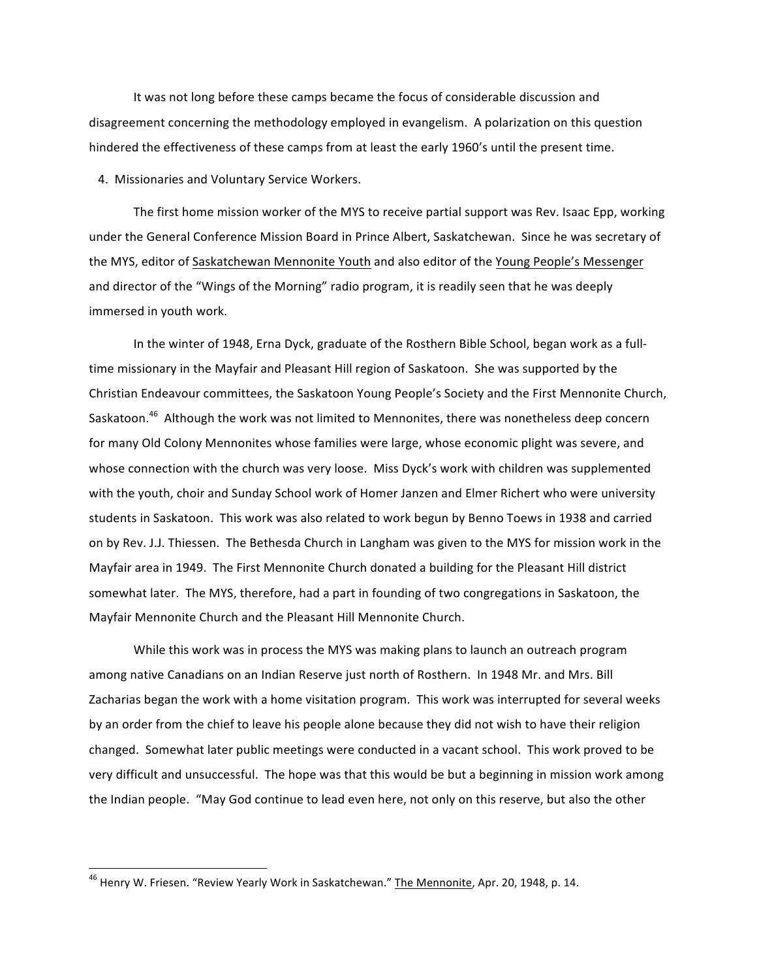It was not long before these camps became the focus of considerable discussion and disagreement concerning the methodology employed in evangelism. A polarization on this question hindered the effectiveness of these camps from at least the early 1960's until the present time.

4. Missionaries and Voluntary Service Workers.

The first home mission worker of the MYS to receive partial support was Rev. Isaac Epp, working under the General Conference Mission Board in Prince Albert, Saskatchewan. Since he was secretary of the MYS, editor of Saskatchewan Mennonite Youth and also editor of the Young People's Messenger and director of the "Wings of the Morning" radio program, it is readily seen that he was deeply immersed in youth work.

In the winter of 1948, Erna Dyck, graduate of the Rosthern Bible School, began work as a fulltime missionary in the Mayfair and Pleasant Hill region of Saskatoon. She was supported by the Christian Endeavour committees, the Saskatoon Young People's Society and the First Mennonite Church, Saskatoon.<sup>46</sup> Although the work was not limited to Mennonites, there was nonetheless deep concern for many Old Colony Mennonites whose families were large, whose economic plight was severe, and whose connection with the church was very loose. Miss Dyck's work with children was supplemented with the youth, choir and Sunday School work of Homer Janzen and Elmer Richert who were university students in Saskatoon. This work was also related to work begun by Benno Toews in 1938 and carried on by Rev. J.J. Thiessen. The Bethesda Church in Langham was given to the MYS for mission work in the Mayfair area in 1949. The First Mennonite Church donated a building for the Pleasant Hill district somewhat later. The MYS, therefore, had a part in founding of two congregations in Saskatoon, the Mayfair Mennonite Church and the Pleasant Hill Mennonite Church.

While this work was in process the MYS was making plans to launch an outreach program among native Canadians on an Indian Reserve just north of Rosthern. In 1948 Mr. and Mrs. Bill Zacharias began the work with a home visitation program. This work was interrupted for several weeks by an order from the chief to leave his people alone because they did not wish to have their religion changed. Somewhat later public meetings were conducted in a vacant school. This work proved to be very difficult and unsuccessful. The hope was that this would be but a beginning in mission work among the Indian people. "May God continue to lead even here, not only on this reserve, but also the other

<sup>&</sup>lt;sup>46</sup> Henry W. Friesen. "Review Yearly Work in Saskatchewan." The Mennonite, Apr. 20, 1948, p. 14.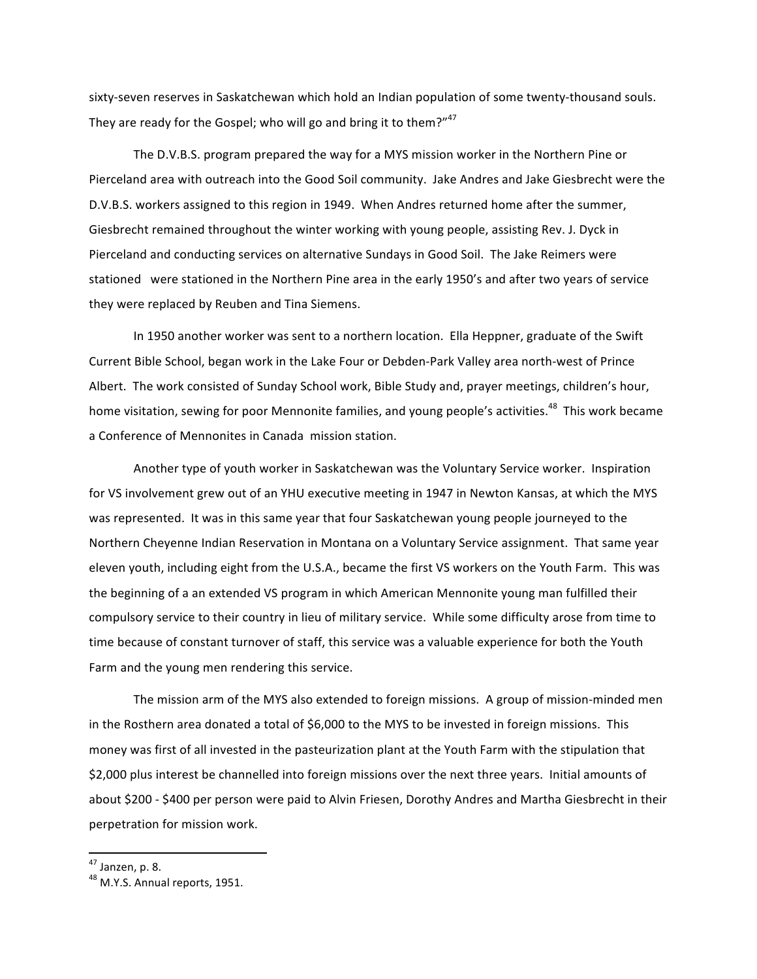sixty-seven reserves in Saskatchewan which hold an Indian population of some twenty-thousand souls. They are ready for the Gospel; who will go and bring it to them?" $47$ 

The D.V.B.S. program prepared the way for a MYS mission worker in the Northern Pine or Pierceland area with outreach into the Good Soil community. Jake Andres and Jake Giesbrecht were the D.V.B.S. workers assigned to this region in 1949. When Andres returned home after the summer, Giesbrecht remained throughout the winter working with young people, assisting Rev. J. Dyck in Pierceland and conducting services on alternative Sundays in Good Soil. The Jake Reimers were stationed were stationed in the Northern Pine area in the early 1950's and after two years of service they were replaced by Reuben and Tina Siemens.

In 1950 another worker was sent to a northern location. Ella Heppner, graduate of the Swift Current Bible School, began work in the Lake Four or Debden-Park Valley area north-west of Prince Albert. The work consisted of Sunday School work, Bible Study and, prayer meetings, children's hour, home visitation, sewing for poor Mennonite families, and young people's activities.<sup>48</sup> This work became a Conference of Mennonites in Canada mission station.

Another type of youth worker in Saskatchewan was the Voluntary Service worker. Inspiration for VS involvement grew out of an YHU executive meeting in 1947 in Newton Kansas, at which the MYS was represented. It was in this same year that four Saskatchewan young people journeyed to the Northern Cheyenne Indian Reservation in Montana on a Voluntary Service assignment. That same year eleven youth, including eight from the U.S.A., became the first VS workers on the Youth Farm. This was the beginning of a an extended VS program in which American Mennonite young man fulfilled their compulsory service to their country in lieu of military service. While some difficulty arose from time to time because of constant turnover of staff, this service was a valuable experience for both the Youth Farm and the young men rendering this service.

The mission arm of the MYS also extended to foreign missions. A group of mission-minded men in the Rosthern area donated a total of \$6,000 to the MYS to be invested in foreign missions. This money was first of all invested in the pasteurization plant at the Youth Farm with the stipulation that \$2,000 plus interest be channelled into foreign missions over the next three years. Initial amounts of about \$200 - \$400 per person were paid to Alvin Friesen, Dorothy Andres and Martha Giesbrecht in their perpetration for mission work.

 $^{47}$  Janzen, p. 8.<br> $^{48}$  M.Y.S. Annual reports, 1951.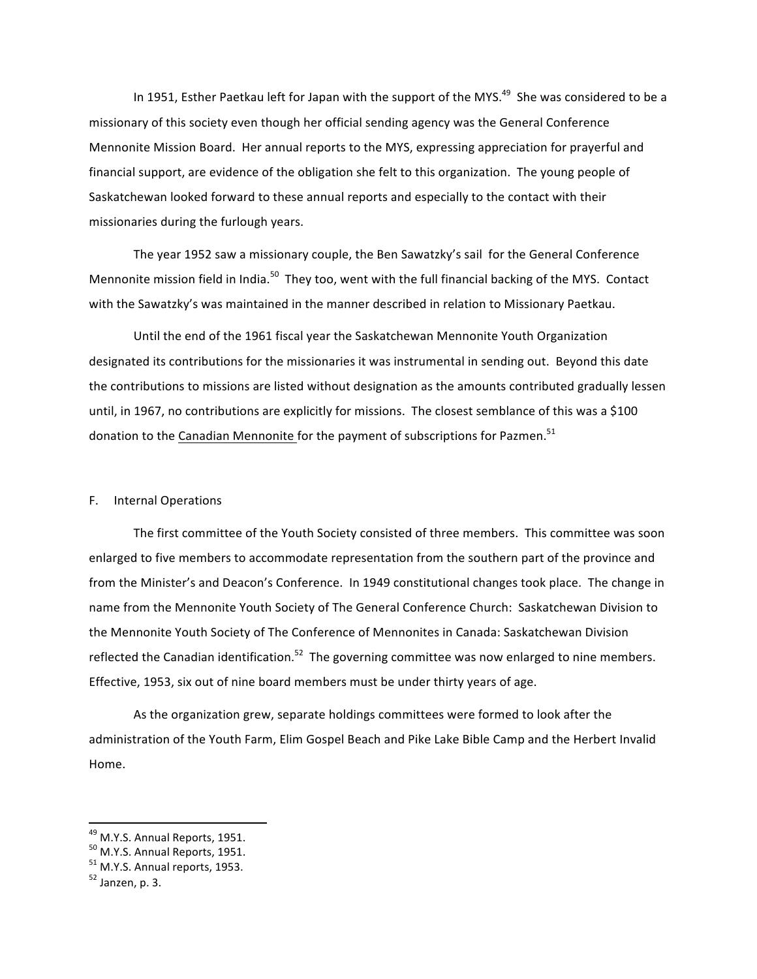In 1951, Esther Paetkau left for Japan with the support of the MYS.<sup>49</sup> She was considered to be a missionary of this society even though her official sending agency was the General Conference Mennonite Mission Board. Her annual reports to the MYS, expressing appreciation for prayerful and financial support, are evidence of the obligation she felt to this organization. The young people of Saskatchewan looked forward to these annual reports and especially to the contact with their missionaries during the furlough years.

The year 1952 saw a missionary couple, the Ben Sawatzky's sail for the General Conference Mennonite mission field in India.<sup>50</sup> They too, went with the full financial backing of the MYS. Contact with the Sawatzky's was maintained in the manner described in relation to Missionary Paetkau.

Until the end of the 1961 fiscal year the Saskatchewan Mennonite Youth Organization designated its contributions for the missionaries it was instrumental in sending out. Beyond this date the contributions to missions are listed without designation as the amounts contributed gradually lessen until, in 1967, no contributions are explicitly for missions. The closest semblance of this was a \$100 donation to the Canadian Mennonite for the payment of subscriptions for Pazmen.<sup>51</sup>

## F. Internal Operations

The first committee of the Youth Society consisted of three members. This committee was soon enlarged to five members to accommodate representation from the southern part of the province and from the Minister's and Deacon's Conference. In 1949 constitutional changes took place. The change in name from the Mennonite Youth Society of The General Conference Church: Saskatchewan Division to the Mennonite Youth Society of The Conference of Mennonites in Canada: Saskatchewan Division reflected the Canadian identification.<sup>52</sup> The governing committee was now enlarged to nine members. Effective, 1953, six out of nine board members must be under thirty years of age.

As the organization grew, separate holdings committees were formed to look after the administration of the Youth Farm, Elim Gospel Beach and Pike Lake Bible Camp and the Herbert Invalid Home.

<sup>&</sup>lt;sup>49</sup> M.Y.S. Annual Reports, 1951.<br><sup>50</sup> M.Y.S. Annual Reports, 1951.<br><sup>51</sup> M.Y.S. Annual reports, 1953.<br><sup>52</sup> Janzen, p. 3.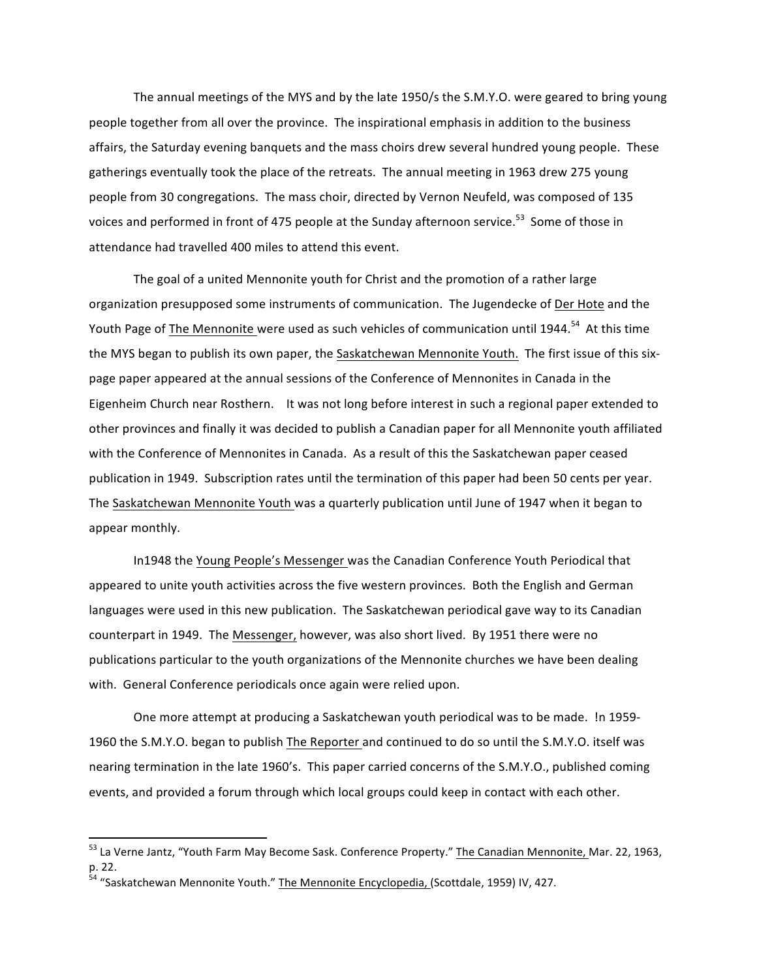The annual meetings of the MYS and by the late 1950/s the S.M.Y.O. were geared to bring young people together from all over the province. The inspirational emphasis in addition to the business affairs, the Saturday evening banquets and the mass choirs drew several hundred young people. These gatherings eventually took the place of the retreats. The annual meeting in 1963 drew 275 young people from 30 congregations. The mass choir, directed by Vernon Neufeld, was composed of 135 voices and performed in front of 475 people at the Sunday afternoon service.<sup>53</sup> Some of those in attendance had travelled 400 miles to attend this event.

The goal of a united Mennonite youth for Christ and the promotion of a rather large organization presupposed some instruments of communication. The Jugendecke of Der Hote and the Youth Page of The Mennonite were used as such vehicles of communication until 1944.<sup>54</sup> At this time the MYS began to publish its own paper, the Saskatchewan Mennonite Youth. The first issue of this sixpage paper appeared at the annual sessions of the Conference of Mennonites in Canada in the Eigenheim Church near Rosthern. It was not long before interest in such a regional paper extended to other provinces and finally it was decided to publish a Canadian paper for all Mennonite youth affiliated with the Conference of Mennonites in Canada. As a result of this the Saskatchewan paper ceased publication in 1949. Subscription rates until the termination of this paper had been 50 cents per year. The Saskatchewan Mennonite Youth was a quarterly publication until June of 1947 when it began to appear monthly.

In1948 the Young People's Messenger was the Canadian Conference Youth Periodical that appeared to unite youth activities across the five western provinces. Both the English and German languages were used in this new publication. The Saskatchewan periodical gave way to its Canadian counterpart in 1949. The Messenger, however, was also short lived. By 1951 there were no publications particular to the youth organizations of the Mennonite churches we have been dealing with. General Conference periodicals once again were relied upon.

One more attempt at producing a Saskatchewan youth periodical was to be made. !n 1959-1960 the S.M.Y.O. began to publish The Reporter and continued to do so until the S.M.Y.O. itself was nearing termination in the late 1960's. This paper carried concerns of the S.M.Y.O., published coming events, and provided a forum through which local groups could keep in contact with each other.

<sup>&</sup>lt;sup>53</sup> La Verne Jantz, "Youth Farm May Become Sask. Conference Property." <u>The Canadian Mennonite,</u> Mar. 22, 1963, p. 22.

<sup>&</sup>lt;sup>4</sup> "Saskatchewan Mennonite Youth." The Mennonite Encyclopedia, (Scottdale, 1959) IV, 427.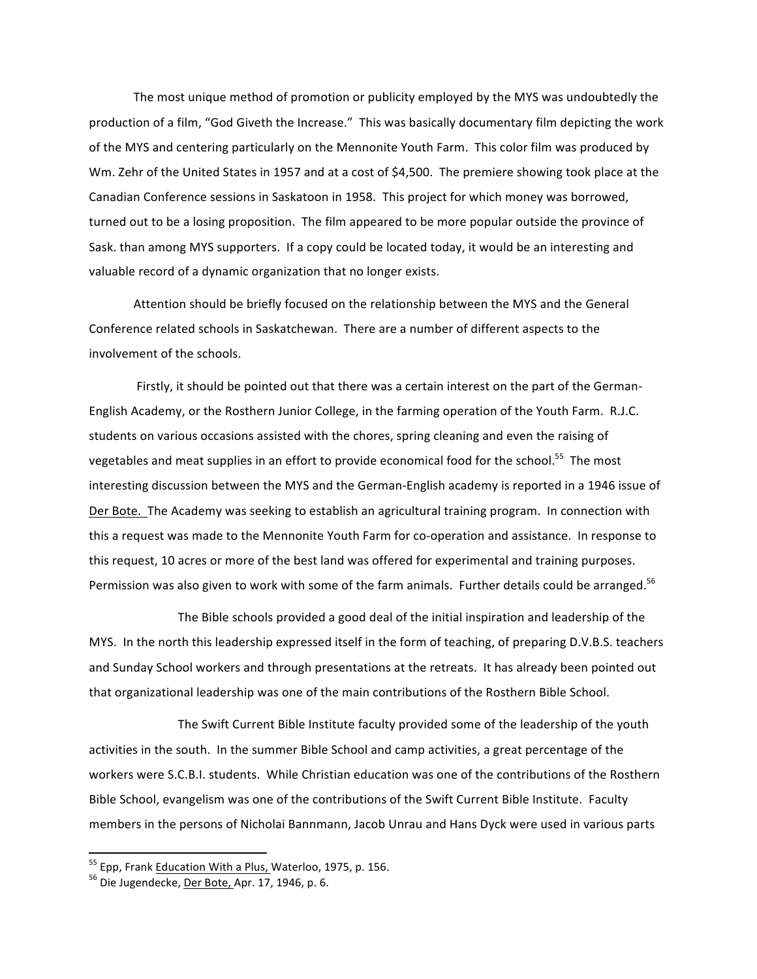The most unique method of promotion or publicity employed by the MYS was undoubtedly the production of a film, "God Giveth the Increase." This was basically documentary film depicting the work of the MYS and centering particularly on the Mennonite Youth Farm. This color film was produced by Wm. Zehr of the United States in 1957 and at a cost of \$4,500. The premiere showing took place at the Canadian Conference sessions in Saskatoon in 1958. This project for which money was borrowed, turned out to be a losing proposition. The film appeared to be more popular outside the province of Sask. than among MYS supporters. If a copy could be located today, it would be an interesting and valuable record of a dynamic organization that no longer exists.

Attention should be briefly focused on the relationship between the MYS and the General Conference related schools in Saskatchewan. There are a number of different aspects to the involvement of the schools.

Firstly, it should be pointed out that there was a certain interest on the part of the German-English Academy, or the Rosthern Junior College, in the farming operation of the Youth Farm. R.J.C. students on various occasions assisted with the chores, spring cleaning and even the raising of vegetables and meat supplies in an effort to provide economical food for the school.<sup>55</sup> The most interesting discussion between the MYS and the German-English academy is reported in a 1946 issue of Der Bote. The Academy was seeking to establish an agricultural training program. In connection with this a request was made to the Mennonite Youth Farm for co-operation and assistance. In response to this request, 10 acres or more of the best land was offered for experimental and training purposes. Permission was also given to work with some of the farm animals. Further details could be arranged.<sup>56</sup>

The Bible schools provided a good deal of the initial inspiration and leadership of the MYS. In the north this leadership expressed itself in the form of teaching, of preparing D.V.B.S. teachers and Sunday School workers and through presentations at the retreats. It has already been pointed out that organizational leadership was one of the main contributions of the Rosthern Bible School.

The Swift Current Bible Institute faculty provided some of the leadership of the youth activities in the south. In the summer Bible School and camp activities, a great percentage of the workers were S.C.B.I. students. While Christian education was one of the contributions of the Rosthern Bible School, evangelism was one of the contributions of the Swift Current Bible Institute. Faculty members in the persons of Nicholai Bannmann, Jacob Unrau and Hans Dyck were used in various parts

 $55$  Epp, Frank Education With a Plus, Waterloo, 1975, p. 156.  $56$  Die Jugendecke, Der Bote, Apr. 17, 1946, p. 6.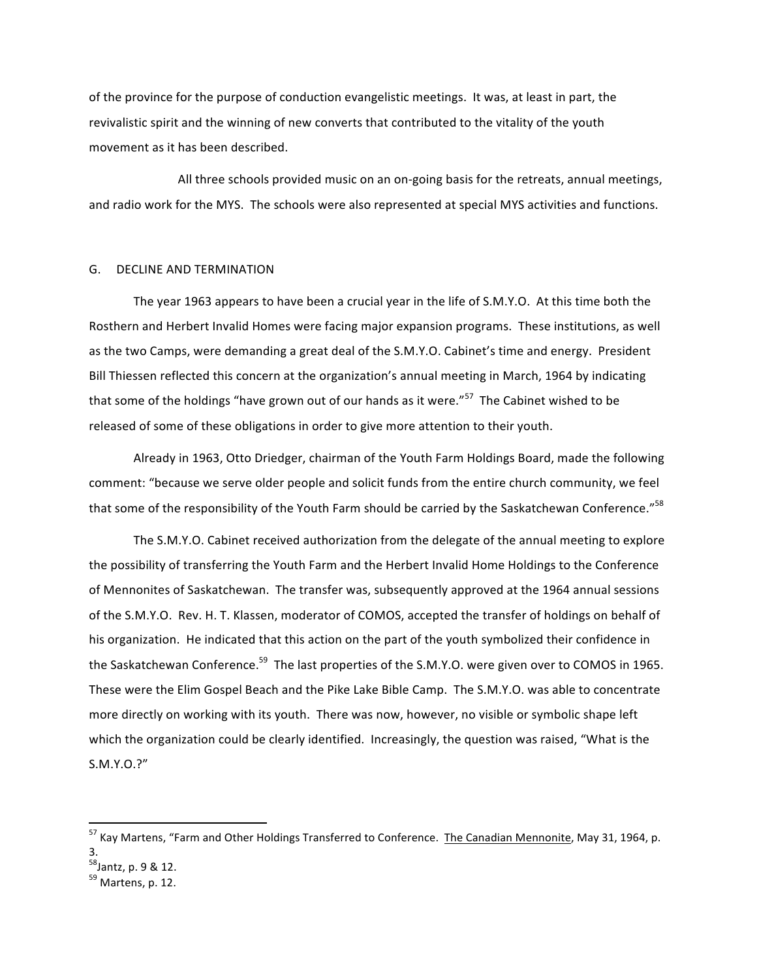of the province for the purpose of conduction evangelistic meetings. It was, at least in part, the revivalistic spirit and the winning of new converts that contributed to the vitality of the youth movement as it has been described.

All three schools provided music on an on-going basis for the retreats, annual meetings, and radio work for the MYS. The schools were also represented at special MYS activities and functions.

### G. DECLINE AND TERMINATION

The year 1963 appears to have been a crucial year in the life of S.M.Y.O. At this time both the Rosthern and Herbert Invalid Homes were facing major expansion programs. These institutions, as well as the two Camps, were demanding a great deal of the S.M.Y.O. Cabinet's time and energy. President Bill Thiessen reflected this concern at the organization's annual meeting in March, 1964 by indicating that some of the holdings "have grown out of our hands as it were." $57$  The Cabinet wished to be released of some of these obligations in order to give more attention to their youth.

Already in 1963, Otto Driedger, chairman of the Youth Farm Holdings Board, made the following comment: "because we serve older people and solicit funds from the entire church community, we feel that some of the responsibility of the Youth Farm should be carried by the Saskatchewan Conference."<sup>58</sup>

The S.M.Y.O. Cabinet received authorization from the delegate of the annual meeting to explore the possibility of transferring the Youth Farm and the Herbert Invalid Home Holdings to the Conference of Mennonites of Saskatchewan. The transfer was, subsequently approved at the 1964 annual sessions of the S.M.Y.O. Rev. H. T. Klassen, moderator of COMOS, accepted the transfer of holdings on behalf of his organization. He indicated that this action on the part of the youth symbolized their confidence in the Saskatchewan Conference.<sup>59</sup> The last properties of the S.M.Y.O. were given over to COMOS in 1965. These were the Elim Gospel Beach and the Pike Lake Bible Camp. The S.M.Y.O. was able to concentrate more directly on working with its youth. There was now, however, no visible or symbolic shape left which the organization could be clearly identified. Increasingly, the question was raised, "What is the S.M.Y.O.?"

<sup>&</sup>lt;sup>57</sup> Kay Martens, "Farm and Other Holdings Transferred to Conference. The Canadian Mennonite, May 31, 1964, p. 3.

<sup>&</sup>lt;sup>58</sup>Jantz, p. 9 & 12.

 $59$  Martens, p. 12.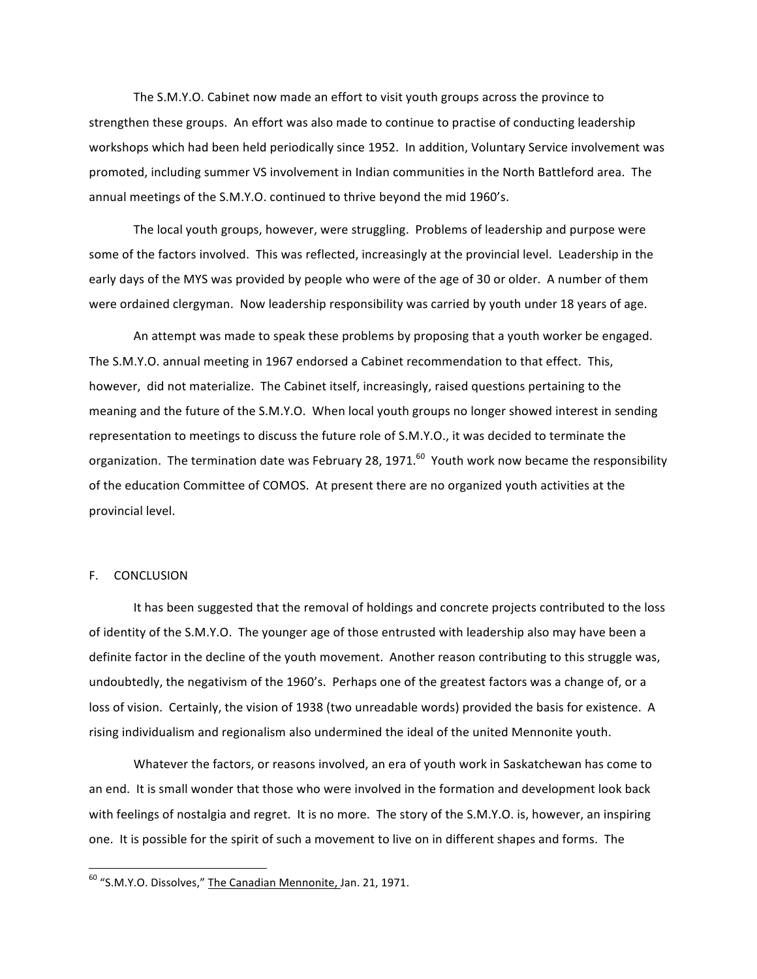The S.M.Y.O. Cabinet now made an effort to visit youth groups across the province to strengthen these groups. An effort was also made to continue to practise of conducting leadership workshops which had been held periodically since 1952. In addition, Voluntary Service involvement was promoted, including summer VS involvement in Indian communities in the North Battleford area. The annual meetings of the S.M.Y.O. continued to thrive beyond the mid 1960's.

The local youth groups, however, were struggling. Problems of leadership and purpose were some of the factors involved. This was reflected, increasingly at the provincial level. Leadership in the early days of the MYS was provided by people who were of the age of 30 or older. A number of them were ordained clergyman. Now leadership responsibility was carried by youth under 18 years of age.

An attempt was made to speak these problems by proposing that a youth worker be engaged. The S.M.Y.O. annual meeting in 1967 endorsed a Cabinet recommendation to that effect. This, however, did not materialize. The Cabinet itself, increasingly, raised questions pertaining to the meaning and the future of the S.M.Y.O. When local youth groups no longer showed interest in sending representation to meetings to discuss the future role of S.M.Y.O., it was decided to terminate the organization. The termination date was February 28, 1971.<sup>60</sup> Youth work now became the responsibility of the education Committee of COMOS. At present there are no organized youth activities at the provincial level.

## F. CONCLUSION

It has been suggested that the removal of holdings and concrete projects contributed to the loss of identity of the S.M.Y.O. The younger age of those entrusted with leadership also may have been a definite factor in the decline of the youth movement. Another reason contributing to this struggle was, undoubtedly, the negativism of the 1960's. Perhaps one of the greatest factors was a change of, or a loss of vision. Certainly, the vision of 1938 (two unreadable words) provided the basis for existence. A rising individualism and regionalism also undermined the ideal of the united Mennonite youth.

Whatever the factors, or reasons involved, an era of youth work in Saskatchewan has come to an end. It is small wonder that those who were involved in the formation and development look back with feelings of nostalgia and regret. It is no more. The story of the S.M.Y.O. is, however, an inspiring one. It is possible for the spirit of such a movement to live on in different shapes and forms. The

 $^{60}$  "S.M.Y.O. Dissolves," The Canadian Mennonite, Jan. 21, 1971.